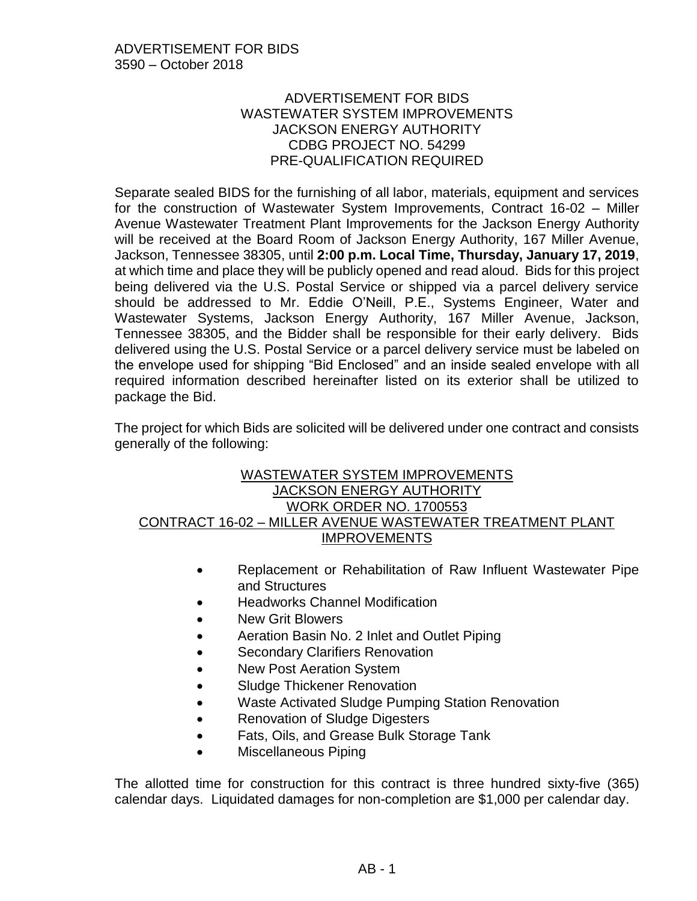# ADVERTISEMENT FOR BIDS WASTEWATER SYSTEM IMPROVEMENTS JACKSON ENERGY AUTHORITY CDBG PROJECT NO. 54299 PRE-QUALIFICATION REQUIRED

Separate sealed BIDS for the furnishing of all labor, materials, equipment and services for the construction of Wastewater System Improvements, Contract 16-02 – Miller Avenue Wastewater Treatment Plant Improvements for the Jackson Energy Authority will be received at the Board Room of Jackson Energy Authority, 167 Miller Avenue, Jackson, Tennessee 38305, until **2:00 p.m. Local Time, Thursday, January 17, 2019**, at which time and place they will be publicly opened and read aloud. Bids for this project being delivered via the U.S. Postal Service or shipped via a parcel delivery service should be addressed to Mr. Eddie O'Neill, P.E., Systems Engineer, Water and Wastewater Systems, Jackson Energy Authority, 167 Miller Avenue, Jackson, Tennessee 38305, and the Bidder shall be responsible for their early delivery. Bids delivered using the U.S. Postal Service or a parcel delivery service must be labeled on the envelope used for shipping "Bid Enclosed" and an inside sealed envelope with all required information described hereinafter listed on its exterior shall be utilized to package the Bid.

The project for which Bids are solicited will be delivered under one contract and consists generally of the following:

# WASTEWATER SYSTEM IMPROVEMENTS JACKSON ENERGY AUTHORITY WORK ORDER NO. 1700553 CONTRACT 16-02 – MILLER AVENUE WASTEWATER TREATMENT PLANT IMPROVEMENTS

- Replacement or Rehabilitation of Raw Influent Wastewater Pipe and Structures
- Headworks Channel Modification
- New Grit Blowers
- Aeration Basin No. 2 Inlet and Outlet Piping
- **Secondary Clarifiers Renovation**
- New Post Aeration System
- Sludge Thickener Renovation
- Waste Activated Sludge Pumping Station Renovation
- Renovation of Sludge Digesters
- Fats, Oils, and Grease Bulk Storage Tank
- Miscellaneous Piping

The allotted time for construction for this contract is three hundred sixty-five (365) calendar days. Liquidated damages for non-completion are \$1,000 per calendar day.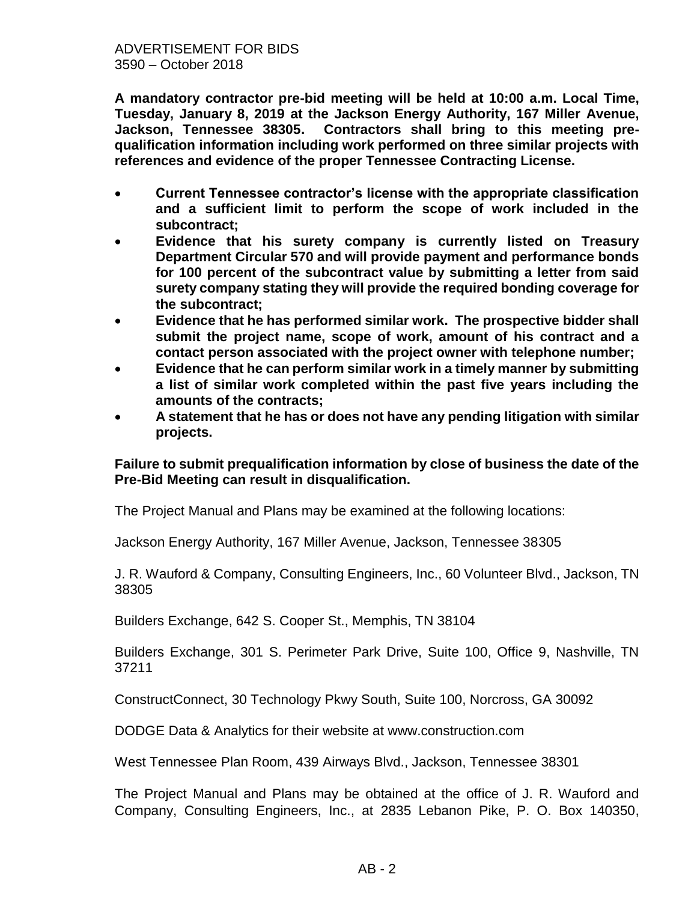**A mandatory contractor pre-bid meeting will be held at 10:00 a.m. Local Time, Tuesday, January 8, 2019 at the Jackson Energy Authority, 167 Miller Avenue, Jackson, Tennessee 38305. Contractors shall bring to this meeting prequalification information including work performed on three similar projects with references and evidence of the proper Tennessee Contracting License.** 

- **Current Tennessee contractor's license with the appropriate classification and a sufficient limit to perform the scope of work included in the subcontract;**
- **Evidence that his surety company is currently listed on Treasury Department Circular 570 and will provide payment and performance bonds for 100 percent of the subcontract value by submitting a letter from said surety company stating they will provide the required bonding coverage for the subcontract;**
- **Evidence that he has performed similar work. The prospective bidder shall submit the project name, scope of work, amount of his contract and a contact person associated with the project owner with telephone number;**
- **Evidence that he can perform similar work in a timely manner by submitting a list of similar work completed within the past five years including the amounts of the contracts;**
- **A statement that he has or does not have any pending litigation with similar projects.**

#### **Failure to submit prequalification information by close of business the date of the Pre-Bid Meeting can result in disqualification.**

The Project Manual and Plans may be examined at the following locations:

Jackson Energy Authority, 167 Miller Avenue, Jackson, Tennessee 38305

J. R. Wauford & Company, Consulting Engineers, Inc., 60 Volunteer Blvd., Jackson, TN 38305

Builders Exchange, 642 S. Cooper St., Memphis, TN 38104

Builders Exchange, 301 S. Perimeter Park Drive, Suite 100, Office 9, Nashville, TN 37211

ConstructConnect, 30 Technology Pkwy South, Suite 100, Norcross, GA 30092

DODGE Data & Analytics for their website at www.construction.com

West Tennessee Plan Room, 439 Airways Blvd., Jackson, Tennessee 38301

The Project Manual and Plans may be obtained at the office of J. R. Wauford and Company, Consulting Engineers, Inc., at 2835 Lebanon Pike, P. O. Box 140350,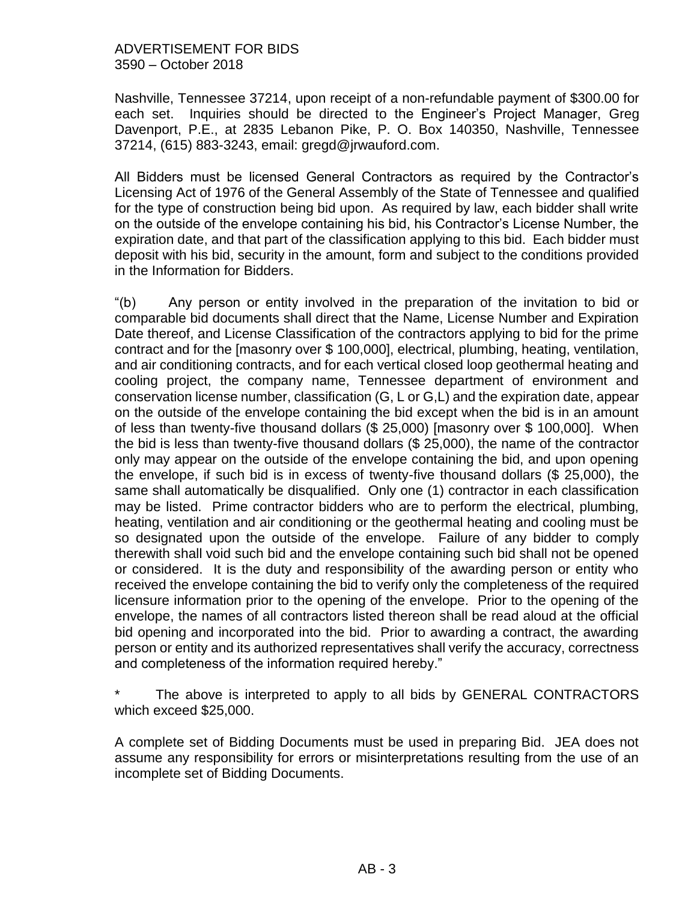Nashville, Tennessee 37214, upon receipt of a non-refundable payment of \$300.00 for each set. Inquiries should be directed to the Engineer's Project Manager, Greg Davenport, P.E., at 2835 Lebanon Pike, P. O. Box 140350, Nashville, Tennessee 37214, (615) 883-3243, email: gregd@jrwauford.com.

All Bidders must be licensed General Contractors as required by the Contractor's Licensing Act of 1976 of the General Assembly of the State of Tennessee and qualified for the type of construction being bid upon. As required by law, each bidder shall write on the outside of the envelope containing his bid, his Contractor's License Number, the expiration date, and that part of the classification applying to this bid. Each bidder must deposit with his bid, security in the amount, form and subject to the conditions provided in the Information for Bidders.

"(b) Any person or entity involved in the preparation of the invitation to bid or comparable bid documents shall direct that the Name, License Number and Expiration Date thereof, and License Classification of the contractors applying to bid for the prime contract and for the [masonry over \$ 100,000], electrical, plumbing, heating, ventilation, and air conditioning contracts, and for each vertical closed loop geothermal heating and cooling project, the company name, Tennessee department of environment and conservation license number, classification (G, L or G,L) and the expiration date, appear on the outside of the envelope containing the bid except when the bid is in an amount of less than twenty-five thousand dollars (\$ 25,000) [masonry over \$ 100,000]. When the bid is less than twenty-five thousand dollars (\$ 25,000), the name of the contractor only may appear on the outside of the envelope containing the bid, and upon opening the envelope, if such bid is in excess of twenty-five thousand dollars (\$ 25,000), the same shall automatically be disqualified. Only one (1) contractor in each classification may be listed. Prime contractor bidders who are to perform the electrical, plumbing, heating, ventilation and air conditioning or the geothermal heating and cooling must be so designated upon the outside of the envelope. Failure of any bidder to comply therewith shall void such bid and the envelope containing such bid shall not be opened or considered. It is the duty and responsibility of the awarding person or entity who received the envelope containing the bid to verify only the completeness of the required licensure information prior to the opening of the envelope. Prior to the opening of the envelope, the names of all contractors listed thereon shall be read aloud at the official bid opening and incorporated into the bid. Prior to awarding a contract, the awarding person or entity and its authorized representatives shall verify the accuracy, correctness and completeness of the information required hereby."

The above is interpreted to apply to all bids by GENERAL CONTRACTORS which exceed \$25,000.

A complete set of Bidding Documents must be used in preparing Bid. JEA does not assume any responsibility for errors or misinterpretations resulting from the use of an incomplete set of Bidding Documents.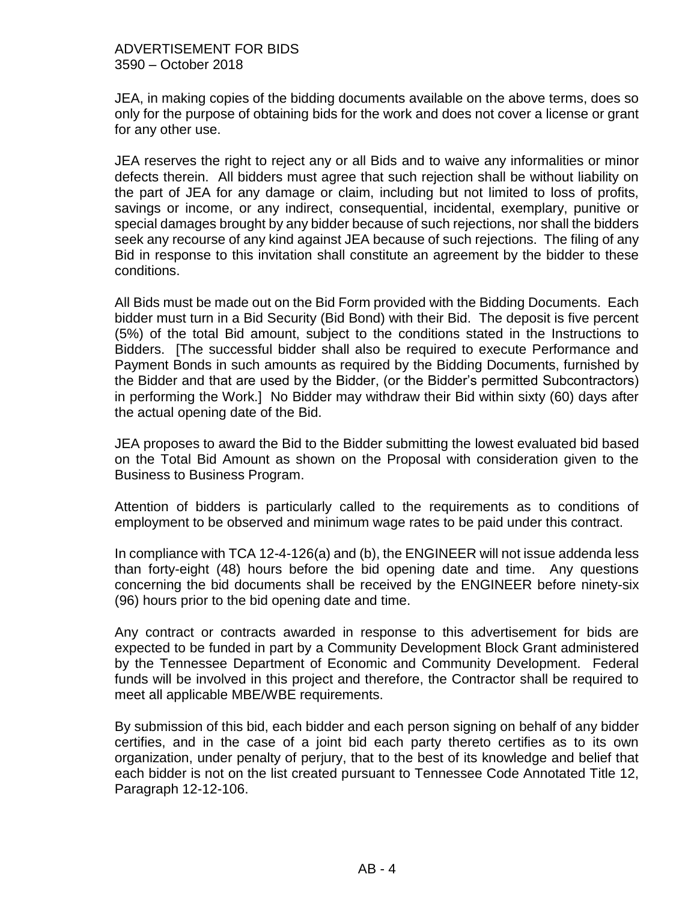JEA, in making copies of the bidding documents available on the above terms, does so only for the purpose of obtaining bids for the work and does not cover a license or grant for any other use.

JEA reserves the right to reject any or all Bids and to waive any informalities or minor defects therein. All bidders must agree that such rejection shall be without liability on the part of JEA for any damage or claim, including but not limited to loss of profits, savings or income, or any indirect, consequential, incidental, exemplary, punitive or special damages brought by any bidder because of such rejections, nor shall the bidders seek any recourse of any kind against JEA because of such rejections. The filing of any Bid in response to this invitation shall constitute an agreement by the bidder to these conditions.

All Bids must be made out on the Bid Form provided with the Bidding Documents. Each bidder must turn in a Bid Security (Bid Bond) with their Bid. The deposit is five percent (5%) of the total Bid amount, subject to the conditions stated in the Instructions to Bidders. [The successful bidder shall also be required to execute Performance and Payment Bonds in such amounts as required by the Bidding Documents, furnished by the Bidder and that are used by the Bidder, (or the Bidder's permitted Subcontractors) in performing the Work.] No Bidder may withdraw their Bid within sixty (60) days after the actual opening date of the Bid.

JEA proposes to award the Bid to the Bidder submitting the lowest evaluated bid based on the Total Bid Amount as shown on the Proposal with consideration given to the Business to Business Program.

Attention of bidders is particularly called to the requirements as to conditions of employment to be observed and minimum wage rates to be paid under this contract.

In compliance with TCA 12-4-126(a) and (b), the ENGINEER will not issue addenda less than forty-eight (48) hours before the bid opening date and time. Any questions concerning the bid documents shall be received by the ENGINEER before ninety-six (96) hours prior to the bid opening date and time.

Any contract or contracts awarded in response to this advertisement for bids are expected to be funded in part by a Community Development Block Grant administered by the Tennessee Department of Economic and Community Development. Federal funds will be involved in this project and therefore, the Contractor shall be required to meet all applicable MBE/WBE requirements.

By submission of this bid, each bidder and each person signing on behalf of any bidder certifies, and in the case of a joint bid each party thereto certifies as to its own organization, under penalty of perjury, that to the best of its knowledge and belief that each bidder is not on the list created pursuant to Tennessee Code Annotated Title 12, Paragraph 12-12-106.